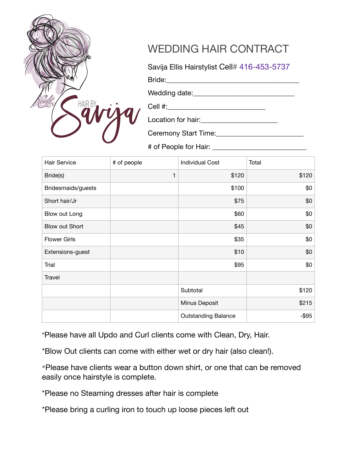

# WEDDING HAIR CONTRACT

Savija Ellis Hairstylist Cell# 416-453-5737

Bride:

Wedding date:

 $Cell$  #:

Location for hair:\_\_\_\_\_\_\_\_\_\_\_\_\_\_\_\_\_\_\_\_\_\_

Ceremony Start Time:\_\_\_\_\_\_\_\_\_\_\_\_\_\_\_\_\_\_\_\_\_\_\_\_\_

# of People for Hair: \_\_\_\_\_\_\_\_\_\_\_\_\_\_\_\_\_\_\_\_\_\_\_\_\_\_\_

| <b>Hair Service</b> | # of people | <b>Individual Cost</b>     | Total    |
|---------------------|-------------|----------------------------|----------|
| Bride(s)            | 1           | \$120                      | \$120    |
| Bridesmaids/guests  |             | \$100                      | \$0      |
| Short hair/Jr       |             | \$75                       | \$0      |
| Blow out Long       |             | \$60                       | \$0      |
| Blow out Short      |             | \$45                       | \$0      |
| <b>Flower Girls</b> |             | \$35                       | \$0      |
| Extensions-guest    |             | \$10                       | \$0      |
| Trial               |             | \$95                       | \$0      |
| Travel              |             |                            |          |
|                     |             | Subtotal                   | \$120    |
|                     |             | Minus Deposit              | \$215    |
|                     |             | <b>Outstanding Balance</b> | $-$ \$95 |

\*Please have all Updo and Curl clients come with Clean, Dry, Hair.

\*Blow Out clients can come with either wet or dry hair (also clean!).

\*Please have clients wear a button down shirt, or one that can be removed easily once hairstyle is complete.

\*Please no Steaming dresses after hair is complete

\*Please bring a curling iron to touch up loose pieces left out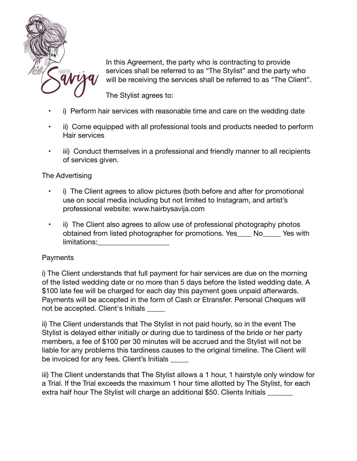

In this Agreement, the party who is contracting to provide services shall be referred to as "The Stylist" and the party who will be receiving the services shall be referred to as "The Client".

The Stylist agrees to:

- i) Perform hair services with reasonable time and care on the wedding date
- ii) Come equipped with all professional tools and products needed to perform Hair services
- iii) Conduct themselves in a professional and friendly manner to all recipients of services given.

The Advertising

- i) The Client agrees to allow pictures (both before and after for promotional use on social media including but not limited to Instagram, and artist's professional website: www.hairbysavija.com
- ii) The Client also agrees to allow use of professional photography photos obtained from listed photographer for promotions. Yes\_\_\_\_ No\_\_\_\_\_ Yes with limitations:

## **Payments**

i) The Client understands that full payment for hair services are due on the morning of the listed wedding date or no more than 5 days before the listed wedding date. A \$100 late fee will be charged for each day this payment goes unpaid afterwards. Payments will be accepted in the form of Cash or Etransfer. Personal Cheques will not be accepted. Client's Initials

ii) The Client understands that The Stylist in not paid hourly, so in the event The Stylist is delayed either initially or during due to tardiness of the bride or her party members, a fee of \$100 per 30 minutes will be accrued and the Stylist will not be liable for any problems this tardiness causes to the original timeline. The Client will be invoiced for any fees. Client's Initials

iii) The Client understands that The Stylist allows a 1 hour, 1 hairstyle only window for a Trial. If the Trial exceeds the maximum 1 hour time allotted by The Stylist, for each extra half hour The Stylist will charge an additional \$50. Clients Initials \_\_\_\_\_